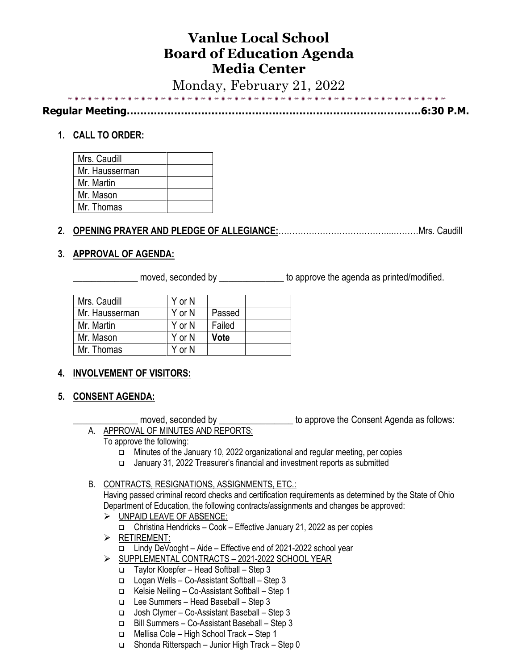# **Vanlue Local School Board of Education Agenda Media Center**

Monday, February 21, 2022

**Regular Meeting……………………………………………………………………………6:30 P.M.**

# **1. CALL TO ORDER:**

| Mrs. Caudill   |  |
|----------------|--|
| Mr. Hausserman |  |
| Mr. Martin     |  |
| Mr. Mason      |  |
| Mr. Thomas     |  |

# **2. OPENING PRAYER AND PLEDGE OF ALLEGIANCE:**…………………………………...………Mrs. Caudill

# **3. APPROVAL OF AGENDA:**

moved, seconded by \_\_\_\_\_\_\_\_\_\_\_\_\_\_\_\_\_\_ to approve the agenda as printed/modified.

| Mrs. Caudill   | Y or N |             |  |
|----------------|--------|-------------|--|
| Mr. Hausserman | Y or N | Passed      |  |
| Mr. Martin     | Y or N | Failed      |  |
| Mr. Mason      | Y or N | <b>Vote</b> |  |
| Mr. Thomas     | Y or N |             |  |

# **4. INVOLVEMENT OF VISITORS:**

**5. CONSENT AGENDA:**

moved, seconded by \_\_\_\_\_\_\_\_\_\_\_\_\_\_\_\_\_\_ to approve the Consent Agenda as follows: A. APPROVAL OF MINUTES AND REPORTS:

- To approve the following:
	- ❑ Minutes of the January 10, 2022 organizational and regular meeting, per copies
	- ❑ January 31, 2022 Treasurer's financial and investment reports as submitted

#### B. CONTRACTS, RESIGNATIONS, ASSIGNMENTS, ETC.:

Having passed criminal record checks and certification requirements as determined by the State of Ohio Department of Education, the following contracts/assignments and changes be approved:

- ➢ UNPAID LEAVE OF ABSENCE: ❑ Christina Hendricks – Cook – Effective January 21, 2022 as per copies
- ➢ RETIREMENT:
	- ❑ Lindy DeVooght Aide Effective end of 2021-2022 school year
- ➢ SUPPLEMENTAL CONTRACTS 2021-2022 SCHOOL YEAR
	- ❑ Taylor Kloepfer Head Softball Step 3
	- ❑ Logan Wells Co-Assistant Softball Step 3
	- ❑ Kelsie Neiling Co-Assistant Softball Step 1
	- ❑ Lee Summers Head Baseball Step 3
	- ❑ Josh Clymer Co-Assistant Baseball Step 3
	- ❑ Bill Summers Co-Assistant Baseball Step 3
	- ❑ Mellisa Cole High School Track Step 1
	- ❑ Shonda Ritterspach Junior High Track Step 0